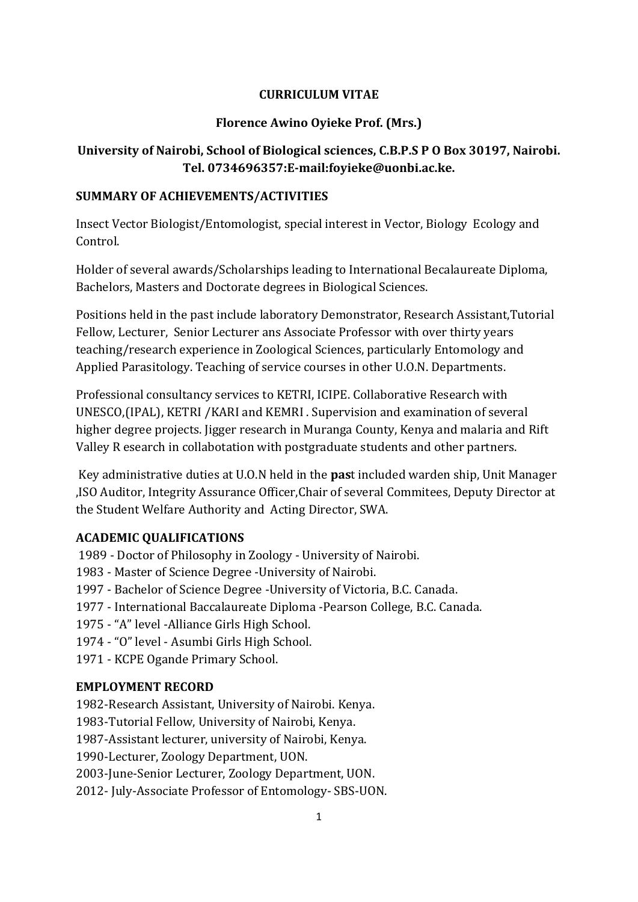### **CURRICULUM VITAE**

### **Florence Awino Oyieke Prof. (Mrs.)**

## **University of Nairobi, School of Biological sciences, C.B.P.S P O Box 30197, Nairobi. Tel. 0734696357:E-mail:foyieke@uonbi.ac.ke.**

#### **SUMMARY OF ACHIEVEMENTS/ACTIVITIES**

Insect Vector Biologist/Entomologist, special interest in Vector, Biology Ecology and Control.

Holder of several awards/Scholarships leading to International Becalaureate Diploma, Bachelors, Masters and Doctorate degrees in Biological Sciences.

Positions held in the past include laboratory Demonstrator, Research Assistant,Tutorial Fellow, Lecturer, Senior Lecturer ans Associate Professor with over thirty years teaching/research experience in Zoological Sciences, particularly Entomology and Applied Parasitology. Teaching of service courses in other U.O.N. Departments.

Professional consultancy services to KETRI, ICIPE. Collaborative Research with UNESCO,(IPAL), KETRI /KARI and KEMRI . Supervision and examination of several higher degree projects. Jigger research in Muranga County, Kenya and malaria and Rift Valley R esearch in collabotation with postgraduate students and other partners.

Key administrative duties at U.O.N held in the **pas**t included warden ship, Unit Manager ,ISO Auditor, Integrity Assurance Officer,Chair of several Commitees, Deputy Director at the Student Welfare Authority and Acting Director, SWA.

#### **ACADEMIC QUALIFICATIONS**

1989 - Doctor of Philosophy in Zoology - University of Nairobi.

1983 - Master of Science Degree -University of Nairobi.

1997 - Bachelor of Science Degree -University of Victoria, B.C. Canada.

1977 - International Baccalaureate Diploma -Pearson College, B.C. Canada.

1975 - "A" level -Alliance Girls High School.

1974 - "O" level - Asumbi Girls High School.

1971 - KCPE Ogande Primary School.

### **EMPLOYMENT RECORD**

1982-Research Assistant, University of Nairobi. Kenya.

1983-Tutorial Fellow, University of Nairobi, Kenya.

1987-Assistant lecturer, university of Nairobi, Kenya.

1990-Lecturer, Zoology Department, UON.

2003-June-Senior Lecturer, Zoology Department, UON.

2012- July-Associate Professor of Entomology- SBS-UON.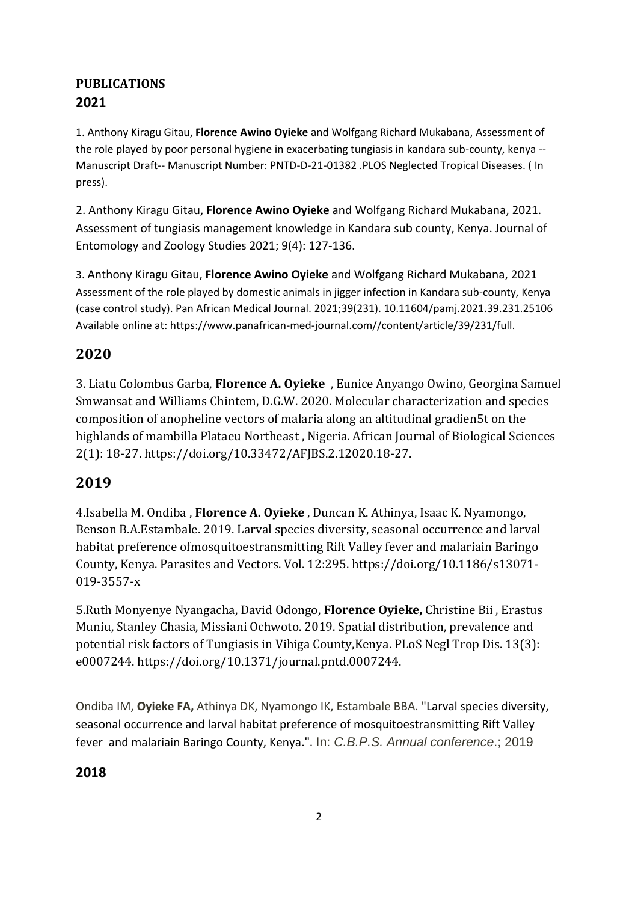# **PUBLICATIONS 2021**

1. Anthony Kiragu Gitau, **Florence Awino Oyieke** and Wolfgang Richard Mukabana, Assessment of the role played by poor personal hygiene in exacerbating tungiasis in kandara sub-county, kenya -- Manuscript Draft-- Manuscript Number: PNTD-D-21-01382 .PLOS Neglected Tropical Diseases. ( In press).

2. Anthony Kiragu Gitau, **Florence Awino Oyieke** and Wolfgang Richard Mukabana, 2021. Assessment of tungiasis management knowledge in Kandara sub county, Kenya. Journal of Entomology and Zoology Studies 2021; 9(4): 127-136.

3. Anthony Kiragu Gitau, **Florence Awino Oyieke** and Wolfgang Richard Mukabana, 2021 Assessment of the role played by domestic animals in jigger infection in Kandara sub-county, Kenya (case control study). Pan African Medical Journal. 2021;39(231). 10.11604/pamj.2021.39.231.25106 Available online at: https://www.panafrican-med-journal.com//content/article/39/231/full.

# **2020**

3. Liatu Colombus Garba, **Florence A. Oyieke** , Eunice Anyango Owino, Georgina Samuel Smwansat and Williams Chintem, D.G.W. 2020. Molecular characterization and species composition of anopheline vectors of malaria along an altitudinal gradien5t on the highlands of mambilla Plataeu Northeast , Nigeria. African Journal of Biological Sciences 2(1): 18-27. [https://doi.org/10.33472/AFJBS.2.12020.18-27.](https://doi.org/10.33472/AFJBS.2.12020.18-27)

# **2019**

4.Isabella M. Ondiba , **Florence A. Oyieke** , Duncan K. Athinya, Isaac K. Nyamongo, Benson B.A.Estambale. 2019. Larval species diversity, seasonal occurrence and larval habitat preference ofmosquitoestransmitting Rift Valley fever and malariain Baringo County, Kenya. Parasites and Vectors. Vol. 12:295[. https://doi.org/10.1186/s13071-](https://doi.org/10.1186/s13071-019-3557-) [019-3557-x](https://doi.org/10.1186/s13071-019-3557-)

5.Ruth Monyenye Nyangacha, David Odongo, **Florence Oyieke,** Christine Bii , Erastus Muniu, Stanley Chasia, Missiani Ochwoto. 2019. Spatial distribution, prevalence and potential risk factors of Tungiasis in Vihiga County,Kenya. PLoS Negl Trop Dis. 13(3): e0007244. [https://doi.org/10.1371/journal.pntd.0007244.](https://doi.org/10.1371/journal.pntd.0007244)

Ondiba IM, **Oyieke FA,** Athinya DK, Nyamongo IK, Estambale BBA. "Larval species [diversity,](https://profiles.uonbi.ac.ke/foyieke/publications/larval-species-diversity-seasonal-occurrence-and-larval-habitat-preference-mosq) seasonal occurrence and larval habitat preference of [mosquitoestransmitting](https://profiles.uonbi.ac.ke/foyieke/publications/larval-species-diversity-seasonal-occurrence-and-larval-habitat-preference-mosq) Rift Valley [fever and](https://profiles.uonbi.ac.ke/foyieke/publications/larval-species-diversity-seasonal-occurrence-and-larval-habitat-preference-mosq) malariain Baringo County, Kenya.". In: *C.B.P.S. Annual conference*.; 2019

# **2018**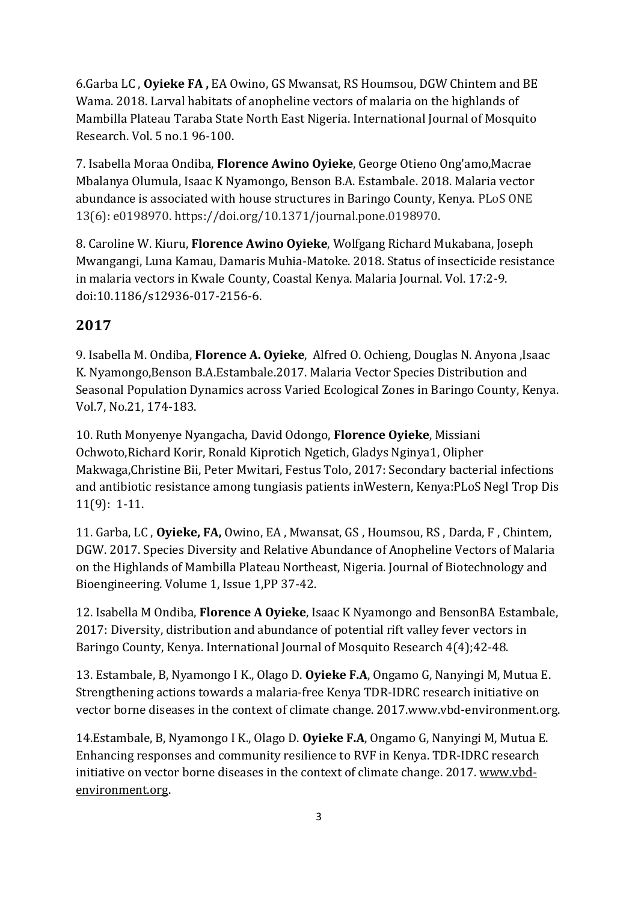6.Garba LC , **Oyieke FA ,** EA Owino, GS Mwansat, RS Houmsou, DGW Chintem and BE Wama. 2018. Larval habitats of anopheline vectors of malaria on the highlands of Mambilla Plateau Taraba State North East Nigeria. International Journal of Mosquito Research. Vol. 5 no.1 96-100.

7. Isabella Moraa Ondiba, **Florence Awino Oyieke**, George Otieno Ong'amo,Macrae Mbalanya Olumula, Isaac K Nyamongo, Benson B.A. Estambale. 2018. Malaria vector abundance is associated with house structures in Baringo County, Kenya. PLoS ONE 13(6): e0198970. https://doi.org/10.1371/journal.pone.0198970.

8. Caroline W. Kiuru, **Florence Awino Oyieke**, Wolfgang Richard Mukabana, Joseph Mwangangi, Luna Kamau, Damaris Muhia-Matoke. 2018. Status of insecticide resistance in malaria vectors in Kwale County, Coastal Kenya. Malaria Journal. Vol. 17:2-9. doi:10.1186/s12936-017-2156-6.

# **2017**

9. Isabella M. Ondiba, **Florence A. Oyieke**, Alfred O. Ochieng, Douglas N. Anyona ,Isaac K. Nyamongo,Benson B.A.Estambale.2017. Malaria Vector Species Distribution and Seasonal Population Dynamics across Varied Ecological Zones in Baringo County, Kenya. Vol.7, No.21, 174-183.

10. Ruth Monyenye Nyangacha, David Odongo, **Florence Oyieke**, Missiani Ochwoto,Richard Korir, Ronald Kiprotich Ngetich, Gladys Nginya1, Olipher Makwaga,Christine Bii, Peter Mwitari, Festus Tolo, 2017: Secondary bacterial infections and antibiotic resistance among tungiasis patients inWestern, Kenya:PLoS Negl Trop Dis 11(9): 1-11.

11. Garba, LC , **Oyieke, FA,** Owino, EA , Mwansat, GS , Houmsou, RS , Darda, F , Chintem, DGW. 2017. Species Diversity and Relative Abundance of Anopheline Vectors of Malaria on the Highlands of Mambilla Plateau Northeast, Nigeria. Journal of Biotechnology and Bioengineering. Volume 1, Issue 1,PP 37-42.

12. Isabella M Ondiba, **Florence A Oyieke**, Isaac K Nyamongo and BensonBA Estambale, 2017: Diversity, distribution and abundance of potential rift valley fever vectors in Baringo County, Kenya. International Journal of Mosquito Research 4(4);42-48.

13. Estambale, B, Nyamongo I K., Olago D. **Oyieke F.A**, Ongamo G, Nanyingi M, Mutua E. Strengthening actions towards a malaria-free Kenya TDR-IDRC research initiative on vector borne diseases in the context of climate change. 2017.www.vbd-environment.org.

14.Estambale, B, Nyamongo I K., Olago D. **Oyieke F.A**, Ongamo G, Nanyingi M, Mutua E. Enhancing responses and community resilience to RVF in Kenya. TDR-IDRC research initiative on vector borne diseases in the context of climate change. 2017[. www.vbd](http://www.vbd-environment.org/)[environment.org.](http://www.vbd-environment.org/)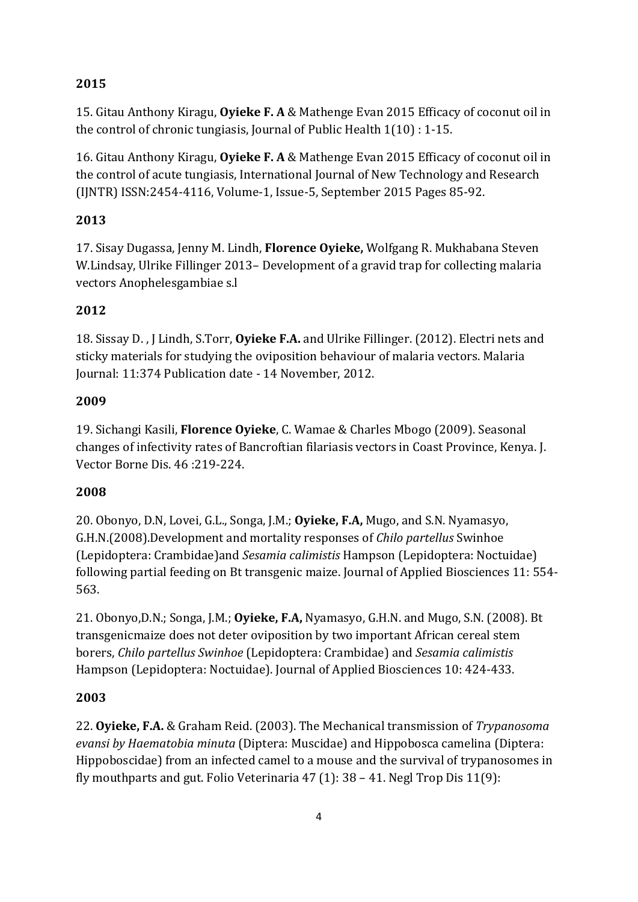### **2015**

15. Gitau Anthony Kiragu, **Oyieke F. A** & Mathenge Evan 2015 Efficacy of coconut oil in the control of chronic tungiasis, Journal of Public Health 1(10) : 1-15.

16. Gitau Anthony Kiragu, **Oyieke F. A** & Mathenge Evan 2015 Efficacy of coconut oil in the control of acute tungiasis, International Journal of New Technology and Research (IJNTR) ISSN:2454-4116, Volume-1, Issue-5, September 2015 Pages 85-92.

## **2013**

17. Sisay Dugassa, Jenny M. Lindh, **Florence Oyieke,** Wolfgang R. Mukhabana Steven W.Lindsay, Ulrike Fillinger 2013– Development of a gravid trap for collecting malaria vectors Anophelesgambiae s.l

### **2012**

18. Sissay D. , J Lindh, S.Torr, **Oyieke F.A.** and Ulrike Fillinger. (2012). Electri nets and sticky materials for studying the oviposition behaviour of malaria vectors. Malaria Journal: 11:374 Publication date - 14 November, 2012.

### **2009**

19. Sichangi Kasili, **Florence Oyieke**, C. Wamae & Charles Mbogo (2009). Seasonal changes of infectivity rates of Bancroftian filariasis vectors in Coast Province, Kenya. J. Vector Borne Dis. 46 :219-224.

### **2008**

20. Obonyo, D.N, Lovei, G.L., Songa, J.M.; **Oyieke, F.A,** Mugo, and S.N. Nyamasyo, G.H.N.(2008).Development and mortality responses of *Chilo partellus* Swinhoe (Lepidoptera: Crambidae)and *Sesamia calimistis* Hampson (Lepidoptera: Noctuidae) following partial feeding on Bt transgenic maize. Journal of Applied Biosciences 11: 554- 563.

21. Obonyo,D.N.; Songa, J.M.; **Oyieke, F.A,** Nyamasyo, G.H.N. and Mugo, S.N. (2008). Bt transgenicmaize does not deter oviposition by two important African cereal stem borers, *Chilo partellus Swinhoe* (Lepidoptera: Crambidae) and *Sesamia calimistis* Hampson (Lepidoptera: Noctuidae). Journal of Applied Biosciences 10: 424-433.

### **2003**

22. **Oyieke, F.A.** & Graham Reid. (2003). The Mechanical transmission of *Trypanosoma evansi by Haematobia minuta* (Diptera: Muscidae) and Hippobosca camelina (Diptera: Hippoboscidae) from an infected camel to a mouse and the survival of trypanosomes in fly mouthparts and gut. Folio Veterinaria 47 (1): 38 – 41. Negl Trop Dis 11(9):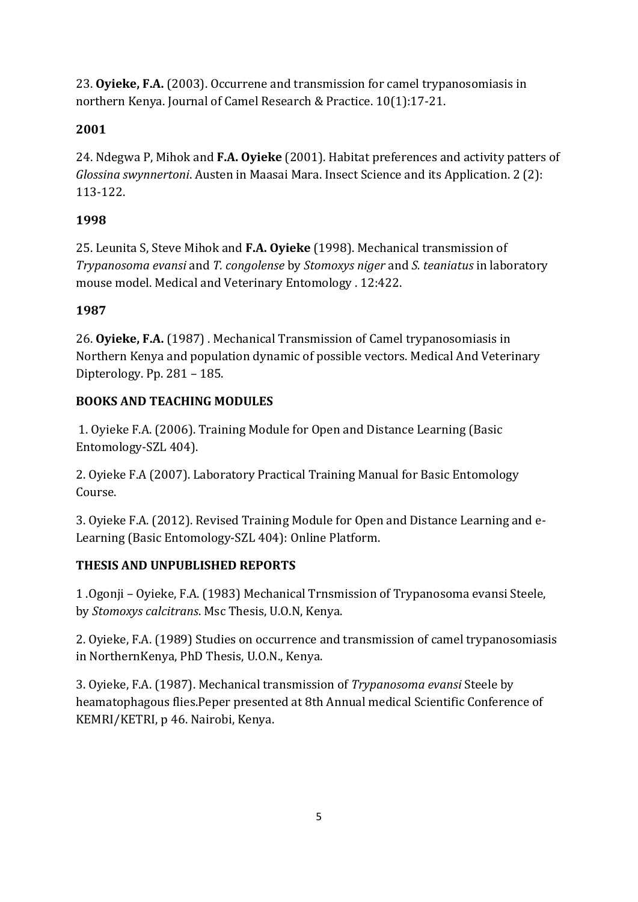23. **Oyieke, F.A.** (2003). Occurrene and transmission for camel trypanosomiasis in northern Kenya. Journal of Camel Research & Practice. 10(1):17-21.

# **2001**

24. Ndegwa P, Mihok and **F.A. Oyieke** (2001). Habitat preferences and activity patters of *Glossina swynnertoni*. Austen in Maasai Mara. Insect Science and its Application. 2 (2): 113-122.

# **1998**

25. Leunita S, Steve Mihok and **F.A. Oyieke** (1998). Mechanical transmission of *Trypanosoma evansi* and *T. congolense* by *Stomoxys niger* and *S. teaniatus* in laboratory mouse model. Medical and Veterinary Entomology . 12:422.

# **1987**

26. **Oyieke, F.A.** (1987) . Mechanical Transmission of Camel trypanosomiasis in Northern Kenya and population dynamic of possible vectors. Medical And Veterinary Dipterology. Pp. 281 – 185.

# **BOOKS AND TEACHING MODULES**

1. Oyieke F.A. (2006). Training Module for Open and Distance Learning (Basic Entomology-SZL 404).

2. Oyieke F.A (2007). Laboratory Practical Training Manual for Basic Entomology Course.

3. Oyieke F.A. (2012). Revised Training Module for Open and Distance Learning and e-Learning (Basic Entomology-SZL 404): Online Platform.

# **THESIS AND UNPUBLISHED REPORTS**

1 .Ogonji – Oyieke, F.A. (1983) Mechanical Trnsmission of Trypanosoma evansi Steele, by *Stomoxys calcitrans*. Msc Thesis, U.O.N, Kenya.

2. Oyieke, F.A. (1989) Studies on occurrence and transmission of camel trypanosomiasis in NorthernKenya, PhD Thesis, U.O.N., Kenya.

3. Oyieke, F.A. (1987). Mechanical transmission of *Trypanosoma evansi* Steele by heamatophagous flies.Peper presented at 8th Annual medical Scientific Conference of KEMRI/KETRI, p 46. Nairobi, Kenya.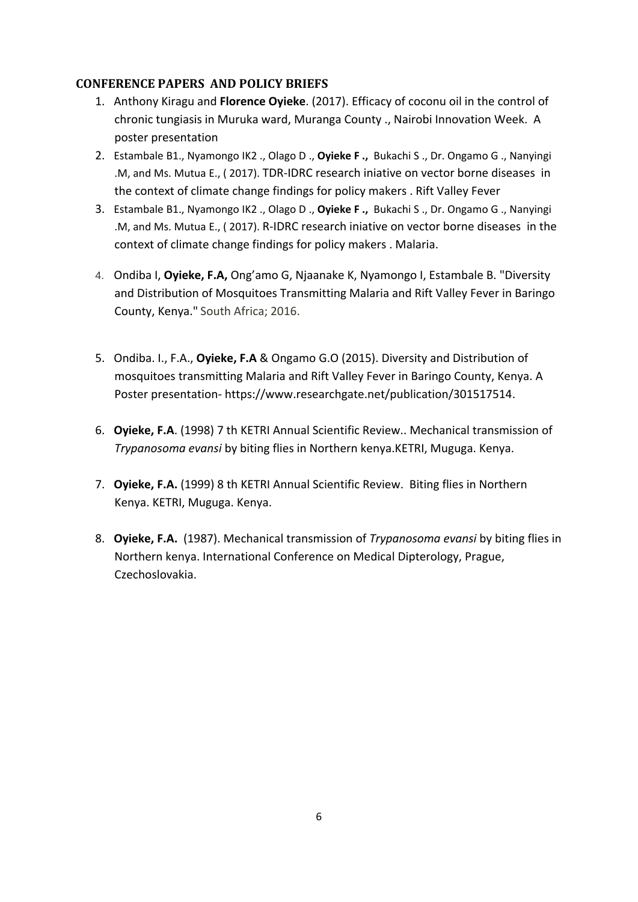#### **CONFERENCE PAPERS AND POLICY BRIEFS**

- 1. Anthony Kiragu and **Florence Oyieke**. (2017). Efficacy of coconu oil in the control of chronic tungiasis in Muruka ward, Muranga County ., Nairobi Innovation Week. A poster presentation
- 2. Estambale B1., Nyamongo IK2 ., Olago D ., **Oyieke F .,** Bukachi S ., Dr. Ongamo G ., Nanyingi .M, and Ms. Mutua E., ( 2017). TDR-IDRC research iniative on vector borne diseases in the context of climate change findings for policy makers . Rift Valley Fever
- 3. Estambale B1., Nyamongo IK2 ., Olago D ., **Oyieke F .,** Bukachi S ., Dr. Ongamo G ., Nanyingi .M, and Ms. Mutua E., ( 2017). R-IDRC research iniative on vector borne diseases in the context of climate change findings for policy makers . Malaria.
- 4. Ondiba I, **Oyieke, F.A,** Ong'amo G, Njaanake K, Nyamongo I, Estambale B. ["Diversity](https://profiles.uonbi.ac.ke/foyieke/publications/diversity-and-distribution-mosquitoes-transmitting-malaria-and-rift-valley-feve) and Distribution of Mosquitoes [Transmitting](https://profiles.uonbi.ac.ke/foyieke/publications/diversity-and-distribution-mosquitoes-transmitting-malaria-and-rift-valley-feve) Malaria and Rift Valley Fever in Baringo [County,](https://profiles.uonbi.ac.ke/foyieke/publications/diversity-and-distribution-mosquitoes-transmitting-malaria-and-rift-valley-feve) Kenya." South Africa; 2016.
- 5. Ondiba. I., F.A., **Oyieke, F.A** & Ongamo G.O (2015). Diversity and Distribution of mosquitoes transmitting Malaria and Rift Valley Fever in Baringo County, Kenya. A Poster presentation- https://www.researchgate.net/publication/301517514.
- 6. **Oyieke, F.A**. (1998) 7 th KETRI Annual Scientific Review.. Mechanical transmission of *Trypanosoma evansi* by biting flies in Northern kenya.KETRI, Muguga. Kenya.
- 7. **Oyieke, F.A.** (1999) 8 th KETRI Annual Scientific Review. Biting flies in Northern Kenya. KETRI, Muguga. Kenya.
- 8. **Oyieke, F.A.** (1987). Mechanical transmission of *Trypanosoma evansi* by biting flies in Northern kenya. International Conference on Medical Dipterology, Prague, Czechoslovakia.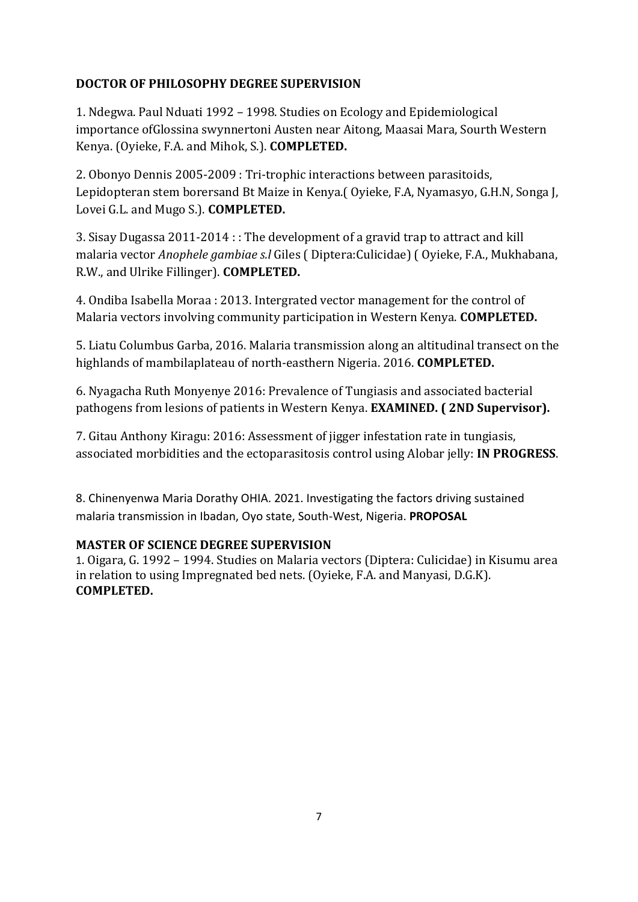### **DOCTOR OF PHILOSOPHY DEGREE SUPERVISION**

1. Ndegwa. Paul Nduati 1992 – 1998. Studies on Ecology and Epidemiological importance ofGlossina swynnertoni Austen near Aitong, Maasai Mara, Sourth Western Kenya. (Oyieke, F.A. and Mihok, S.). **COMPLETED.**

2. Obonyo Dennis 2005-2009 : Tri-trophic interactions between parasitoids, Lepidopteran stem borersand Bt Maize in Kenya.( Oyieke, F.A, Nyamasyo, G.H.N, Songa J, Lovei G.L. and Mugo S.). **COMPLETED.**

3. Sisay Dugassa 2011-2014 : : The development of a gravid trap to attract and kill malaria vector *Anophele gambiae s.l* Giles ( Diptera:Culicidae) ( Oyieke, F.A., Mukhabana, R.W., and Ulrike Fillinger). **COMPLETED.**

4. Ondiba Isabella Moraa : 2013. Intergrated vector management for the control of Malaria vectors involving community participation in Western Kenya. **COMPLETED.**

5. Liatu Columbus Garba, 2016. Malaria transmission along an altitudinal transect on the highlands of mambilaplateau of north-easthern Nigeria. 2016. **COMPLETED.**

6. Nyagacha Ruth Monyenye 2016: Prevalence of Tungiasis and associated bacterial pathogens from lesions of patients in Western Kenya. **EXAMINED. ( 2ND Supervisor).**

7. Gitau Anthony Kiragu: 2016: Assessment of jigger infestation rate in tungiasis, associated morbidities and the ectoparasitosis control using Alobar jelly: **IN PROGRESS**.

8. Chinenyenwa Maria Dorathy OHIA. 2021. Investigating the factors driving sustained malaria transmission in Ibadan, Oyo state, South-West, Nigeria. **PROPOSAL**

### **MASTER OF SCIENCE DEGREE SUPERVISION**

1. Oigara, G. 1992 – 1994. Studies on Malaria vectors (Diptera: Culicidae) in Kisumu area in relation to using Impregnated bed nets. (Oyieke, F.A. and Manyasi, D.G.K). **COMPLETED.**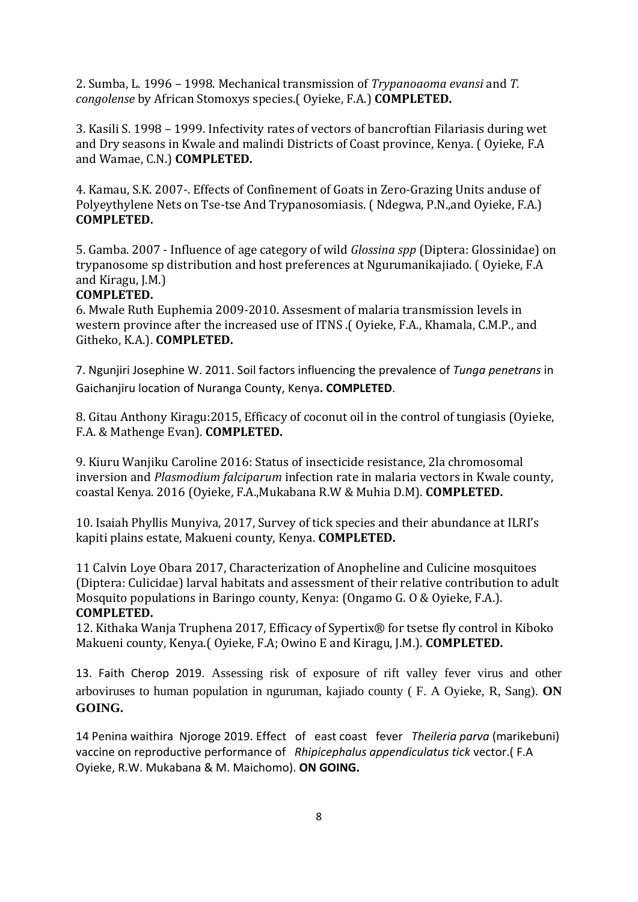2. Sumba, L. 1996 – 1998. Mechanical transmission of *Trypanoaoma evansi* and *T. congolense* by African Stomoxys species.( Oyieke, F.A.) **COMPLETED.**

3. Kasili S. 1998 – 1999. Infectivity rates of vectors of bancroftian Filariasis during wet and Dry seasons in Kwale and malindi Districts of Coast province, Kenya. ( Oyieke, F.A and Wamae, C.N.) **COMPLETED.**

4. Kamau, S.K. 2007-. Effects of Confinement of Goats in Zero-Grazing Units anduse of Polyeythylene Nets on Tse-tse And Trypanosomiasis. ( Ndegwa, P.N.,and Oyieke, F.A.) **COMPLETED.**

5. Gamba. 2007 - Influence of age category of wild *Glossina spp* (Diptera: Glossinidae) on trypanosome sp distribution and host preferences at Ngurumanikajiado. ( Oyieke, F.A and Kiragu, J.M.)

#### **COMPLETED.**

6. Mwale Ruth Euphemia 2009-2010. Assesment of malaria transmission levels in western province after the increased use of ITNS .( Oyieke, F.A., Khamala, C.M.P., and Githeko, K.A.). **COMPLETED.**

7. Ngunjiri Josephine W. 2011. Soil factors influencing the prevalence of *Tunga penetrans* in Gaichanjiru location of Nuranga County, Kenya**. COMPLETED**.

8. Gitau Anthony Kiragu:2015, Efficacy of coconut oil in the control of tungiasis (Oyieke, F.A. & Mathenge Evan). **COMPLETED.**

9. Kiuru Wanjiku Caroline 2016: Status of insecticide resistance, 2la chromosomal inversion and *Plasmodium falciparum* infection rate in malaria vectors in Kwale county, coastal Kenya. 2016 (Oyieke, F.A.,Mukabana R.W & Muhia D.M). **COMPLETED.**

10. Isaiah Phyllis Munyiva, 2017, Survey of tick species and their abundance at ILRI's kapiti plains estate, Makueni county, Kenya. **COMPLETED.**

11 Calvin Loye Obara 2017, Characterization of Anopheline and Culicine mosquitoes (Diptera: Culicidae) larval habitats and assessment of their relative contribution to adult Mosquito populations in Baringo county, Kenya: (Ongamo G. O & Oyieke, F.A.). **COMPLETED.**

12. Kithaka Wanja Truphena 2017, Efficacy of Sypertix® for tsetse fly control in Kiboko Makueni county, Kenya.( Oyieke, F.A; Owino E and Kiragu, J.M.). **COMPLETED.**

13. Faith Cherop 2019. Assessing risk of exposure of rift valley fever virus and other arboviruses to human population in nguruman, kajiado county ( F. A Oyieke, R, Sang). **ON GOING.**

14 Penina waithira Njoroge 2019. Effect of east coast fever *Theileria parva* (marikebuni) vaccine on reproductive performance of *Rhipicephalus appendiculatus tick* vector.( F.A Oyieke, R.W. Mukabana & M. Maichomo). **ON GOING.**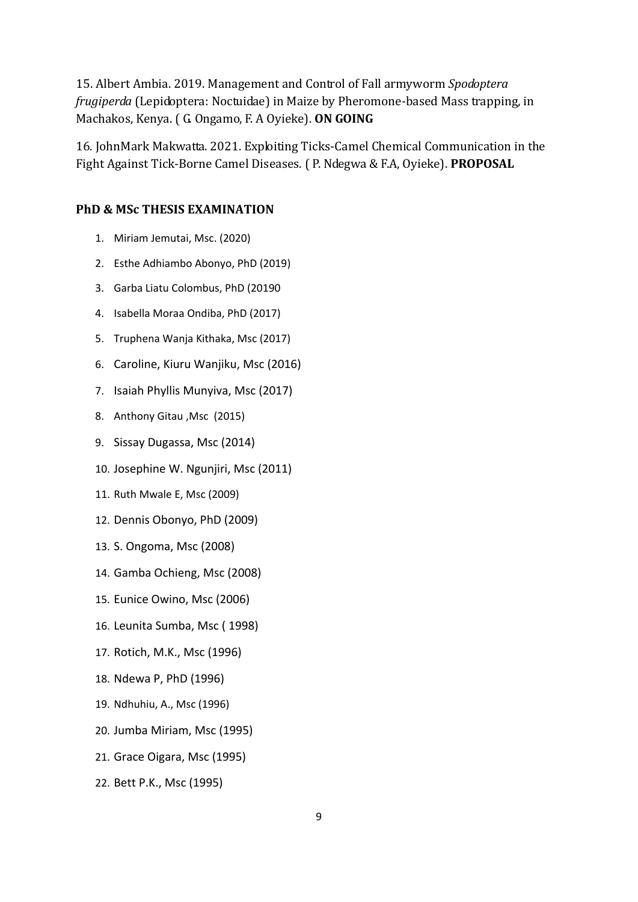15. Albert Ambia. 2019. Management and Control of Fall armyworm *Spodoptera frugiperda* (Lepidoptera: Noctuidae) in Maize by Pheromone-based Mass trapping, in Machakos, Kenya. ( G. Ongamo, F. A Oyieke). **ON GOING**

16. JohnMark Makwatta. 2021. Exploiting Ticks-Camel Chemical Communication in the Fight Against Tick-Borne Camel Diseases. ( P. Ndegwa & F.A, Oyieke). **PROPOSAL**

#### **PhD & MSc THESIS EXAMINATION**

- 1. Miriam Jemutai, Msc. (2020)
- 2. Esthe Adhiambo Abonyo, PhD (2019)
- 3. Garba Liatu Colombus, PhD (20190
- 4. Isabella Moraa Ondiba, PhD (2017)
- 5. Truphena Wanja Kithaka, Msc (2017)
- 6. Caroline, Kiuru Wanjiku, Msc (2016)
- 7. Isaiah Phyllis Munyiva, Msc (2017)
- 8. Anthony Gitau ,Msc (2015)
- 9. Sissay Dugassa, Msc (2014)
- 10. Josephine W. Ngunjiri, Msc (2011)
- 11. Ruth Mwale E, Msc (2009)
- 12. Dennis Obonyo, PhD (2009)
- 13. S. Ongoma, Msc (2008)
- 14. Gamba Ochieng, Msc (2008)
- 15. Eunice Owino, Msc (2006)
- 16. Leunita Sumba, Msc ( 1998)
- 17. Rotich, M.K., Msc (1996)
- 18. Ndewa P, PhD (1996)
- 19. Ndhuhiu, A., Msc (1996)
- 20. Jumba Miriam, Msc (1995)
- 21. Grace Oigara, Msc (1995)
- 22. Bett P.K., Msc (1995)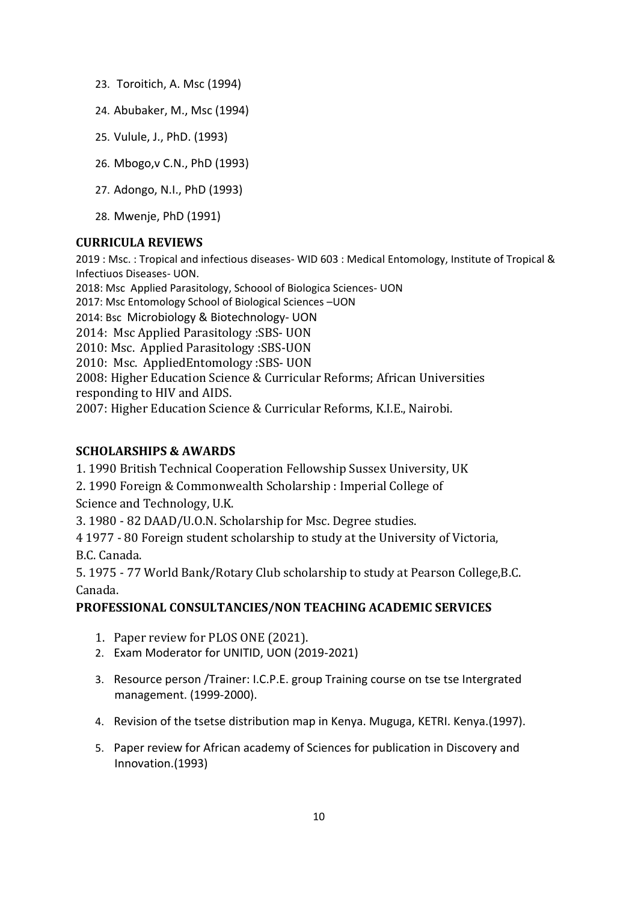- 23. Toroitich, A. Msc (1994)
- 24. Abubaker, M., Msc (1994)
- 25. Vulule, J., PhD. (1993)
- 26. Mbogo,v C.N., PhD (1993)
- 27. Adongo, N.I., PhD (1993)
- 28. Mwenje, PhD (1991)

#### **CURRICULA REVIEWS**

2019 : Msc. : Tropical and infectious diseases- WID 603 : Medical Entomology, Institute of Tropical & Infectiuos Diseases- UON.

2018: Msc Applied Parasitology, Schoool of Biologica Sciences- UON

2017: Msc Entomology School of Biological Sciences –UON

2014: Bsc Microbiology & Biotechnology- UON

2014: Msc Applied Parasitology :SBS- UON

2010: Msc. Applied Parasitology :SBS-UON

2010: Msc. AppliedEntomology :SBS- UON

2008: Higher Education Science & Curricular Reforms; African Universities responding to HIV and AIDS.

2007: Higher Education Science & Curricular Reforms, K.I.E., Nairobi.

### **SCHOLARSHIPS & AWARDS**

1. 1990 British Technical Cooperation Fellowship Sussex University, UK

2. 1990 Foreign & Commonwealth Scholarship : Imperial College of Science and Technology, U.K.

3. 1980 - 82 DAAD/U.O.N. Scholarship for Msc. Degree studies.

4 1977 - 80 Foreign student scholarship to study at the University of Victoria,

B.C. Canada.

5. 1975 - 77 World Bank/Rotary Club scholarship to study at Pearson College,B.C. Canada.

#### **PROFESSIONAL CONSULTANCIES/NON TEACHING ACADEMIC SERVICES**

- 1. Paper review for PLOS ONE (2021).
- 2. Exam Moderator for UNITID, UON (2019-2021)
- 3. Resource person /Trainer: I.C.P.E. group Training course on tse tse Intergrated management. (1999-2000).
- 4. Revision of the tsetse distribution map in Kenya. Muguga, KETRI. Kenya.(1997).
- 5. Paper review for African academy of Sciences for publication in Discovery and Innovation.(1993)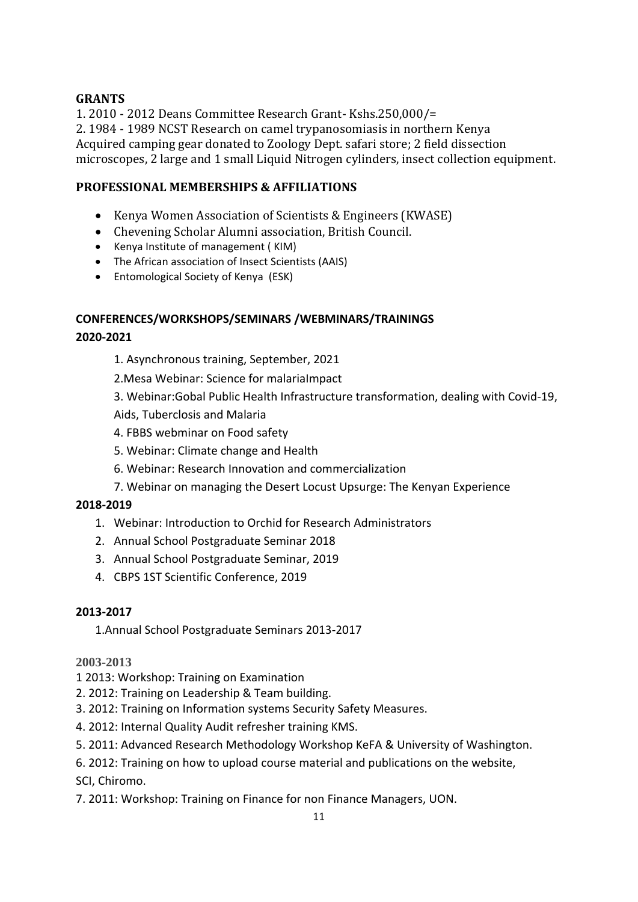### **GRANTS**

1. 2010 - 2012 Deans Committee Research Grant- Kshs.250,000/= 2. 1984 - 1989 NCST Research on camel trypanosomiasis in northern Kenya Acquired camping gear donated to Zoology Dept. safari store; 2 field dissection microscopes, 2 large and 1 small Liquid Nitrogen cylinders, insect collection equipment.

### **PROFESSIONAL MEMBERSHIPS & AFFILIATIONS**

- Kenya Women Association of Scientists & Engineers (KWASE)
- Chevening Scholar Alumni association, British Council.
- Kenya Institute of management ( KIM)
- The African association of Insect Scientists (AAIS)
- Entomological Society of Kenya (ESK)

# **CONFERENCES/WORKSHOPS/SEMINARS /WEBMINARS/TRAININGS**

#### **2020-2021**

1. Asynchronous training, September, 2021

2.Mesa Webinar: Science for malariaImpact

3. Webinar:Gobal Public Health Infrastructure transformation, dealing with Covid-19,

Aids, Tuberclosis and Malaria

- 4. FBBS webminar on Food safety
- 5. Webinar: Climate change and Health
- 6. Webinar: Research Innovation and commercialization
- 7. Webinar on managing the Desert Locust Upsurge: The Kenyan Experience

#### **2018-2019**

- 1. Webinar: Introduction to Orchid for Research Administrators
- 2. Annual School Postgraduate Seminar 2018
- 3. Annual School Postgraduate Seminar, 2019
- 4. CBPS 1ST Scientific Conference, 2019

#### **2013-2017**

1.Annual School Postgraduate Seminars 2013-2017

#### **2003-2013**

- 1 2013: Workshop: Training on Examination
- 2. 2012: Training on Leadership & Team building.
- 3. 2012: Training on Information systems Security Safety Measures.
- 4. 2012: Internal Quality Audit refresher training KMS.
- 5. 2011: Advanced Research Methodology Workshop KeFA & University of Washington.

6. 2012: Training on how to upload course material and publications on the website, SCI, Chiromo.

7. 2011: Workshop: Training on Finance for non Finance Managers, UON.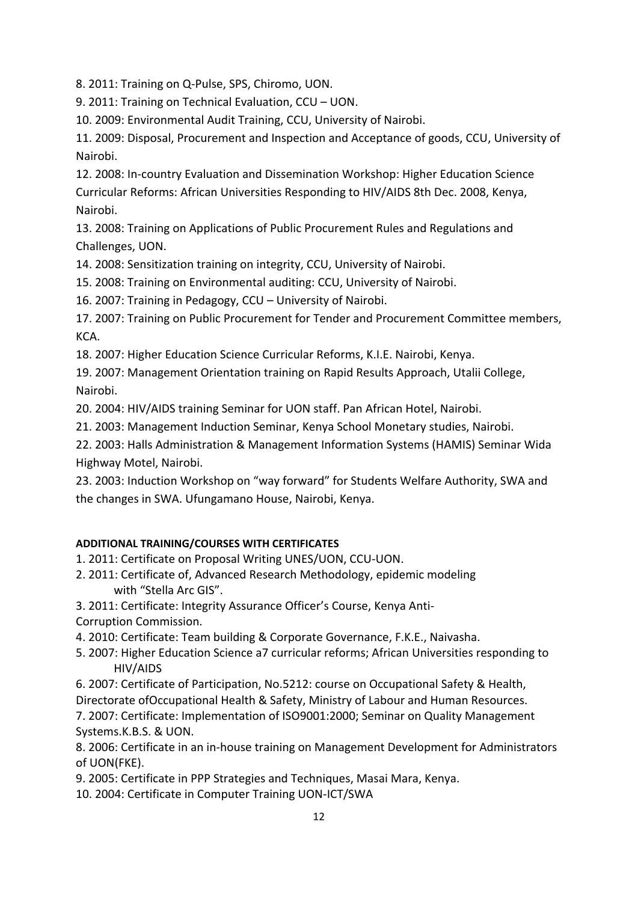8. 2011: Training on Q-Pulse, SPS, Chiromo, UON.

9. 2011: Training on Technical Evaluation, CCU – UON.

10. 2009: Environmental Audit Training, CCU, University of Nairobi.

11. 2009: Disposal, Procurement and Inspection and Acceptance of goods, CCU, University of Nairobi.

12. 2008: In-country Evaluation and Dissemination Workshop: Higher Education Science Curricular Reforms: African Universities Responding to HIV/AIDS 8th Dec. 2008, Kenya, Nairobi.

13. 2008: Training on Applications of Public Procurement Rules and Regulations and Challenges, UON.

14. 2008: Sensitization training on integrity, CCU, University of Nairobi.

15. 2008: Training on Environmental auditing: CCU, University of Nairobi.

16. 2007: Training in Pedagogy, CCU – University of Nairobi.

17. 2007: Training on Public Procurement for Tender and Procurement Committee members, KCA.

18. 2007: Higher Education Science Curricular Reforms, K.I.E. Nairobi, Kenya.

19. 2007: Management Orientation training on Rapid Results Approach, Utalii College, Nairobi.

20. 2004: HIV/AIDS training Seminar for UON staff. Pan African Hotel, Nairobi.

21. 2003: Management Induction Seminar, Kenya School Monetary studies, Nairobi.

22. 2003: Halls Administration & Management Information Systems (HAMIS) Seminar Wida Highway Motel, Nairobi.

23. 2003: Induction Workshop on "way forward" for Students Welfare Authority, SWA and the changes in SWA. Ufungamano House, Nairobi, Kenya.

#### **ADDITIONAL TRAINING/COURSES WITH CERTIFICATES**

- 1. 2011: Certificate on Proposal Writing UNES/UON, CCU-UON.
- 2. 2011: Certificate of, Advanced Research Methodology, epidemic modeling with "Stella Arc GIS".
- 3. 2011: Certificate: Integrity Assurance Officer's Course, Kenya Anti-Corruption Commission.
- 4. 2010: Certificate: Team building & Corporate Governance, F.K.E., Naivasha.
- 5. 2007: Higher Education Science a7 curricular reforms; African Universities responding to HIV/AIDS
- 6. 2007: Certificate of Participation, No.5212: course on Occupational Safety & Health, Directorate ofOccupational Health & Safety, Ministry of Labour and Human Resources.

7. 2007: Certificate: Implementation of ISO9001:2000; Seminar on Quality Management Systems.K.B.S. & UON.

8. 2006: Certificate in an in-house training on Management Development for Administrators of UON(FKE).

- 9. 2005: Certificate in PPP Strategies and Techniques, Masai Mara, Kenya.
- 10. 2004: Certificate in Computer Training UON-ICT/SWA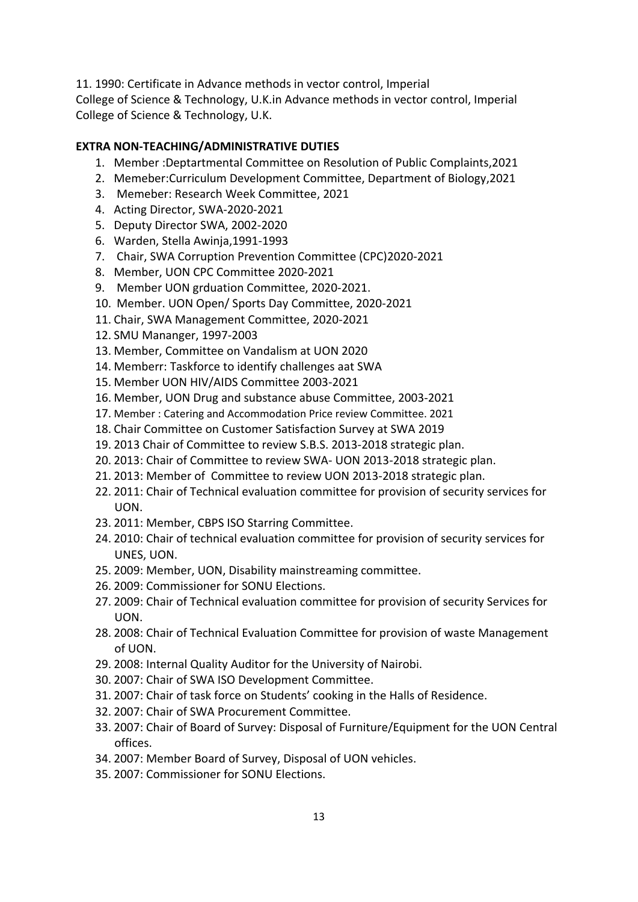11. 1990: Certificate in Advance methods in vector control, Imperial College of Science & Technology, U.K.in Advance methods in vector control, Imperial College of Science & Technology, U.K.

#### **EXTRA NON-TEACHING/ADMINISTRATIVE DUTIES**

- 1. Member :Deptartmental Committee on Resolution of Public Complaints,2021
- 2. Memeber:Curriculum Development Committee, Department of Biology,2021
- 3. Memeber: Research Week Committee, 2021
- 4. Acting Director, SWA-2020-2021
- 5. Deputy Director SWA, 2002-2020
- 6. Warden, Stella Awinja,1991-1993
- 7. Chair, SWA Corruption Prevention Committee (CPC)2020-2021
- 8. Member, UON CPC Committee 2020-2021
- 9. Member UON grduation Committee, 2020-2021.
- 10. Member. UON Open/ Sports Day Committee, 2020-2021
- 11. Chair, SWA Management Committee, 2020-2021
- 12. SMU Mananger, 1997-2003
- 13. Member, Committee on Vandalism at UON 2020
- 14. Memberr: Taskforce to identify challenges aat SWA
- 15. Member UON HIV/AIDS Committee 2003-2021
- 16. Member, UON Drug and substance abuse Committee, 2003-2021
- 17. Member : Catering and Accommodation Price review Committee. 2021
- 18. Chair Committee on Customer Satisfaction Survey at SWA 2019
- 19. 2013 Chair of Committee to review S.B.S. 2013-2018 strategic plan.
- 20. 2013: Chair of Committee to review SWA- UON 2013-2018 strategic plan.
- 21. 2013: Member of Committee to review UON 2013-2018 strategic plan.
- 22. 2011: Chair of Technical evaluation committee for provision of security services for UON.
- 23. 2011: Member, CBPS ISO Starring Committee.
- 24. 2010: Chair of technical evaluation committee for provision of security services for UNES, UON.
- 25. 2009: Member, UON, Disability mainstreaming committee.
- 26. 2009: Commissioner for SONU Elections.
- 27. 2009: Chair of Technical evaluation committee for provision of security Services for UON.
- 28. 2008: Chair of Technical Evaluation Committee for provision of waste Management of UON.
- 29. 2008: Internal Quality Auditor for the University of Nairobi.
- 30. 2007: Chair of SWA ISO Development Committee.
- 31. 2007: Chair of task force on Students' cooking in the Halls of Residence.
- 32. 2007: Chair of SWA Procurement Committee.
- 33. 2007: Chair of Board of Survey: Disposal of Furniture/Equipment for the UON Central offices.
- 34. 2007: Member Board of Survey, Disposal of UON vehicles.
- 35. 2007: Commissioner for SONU Elections.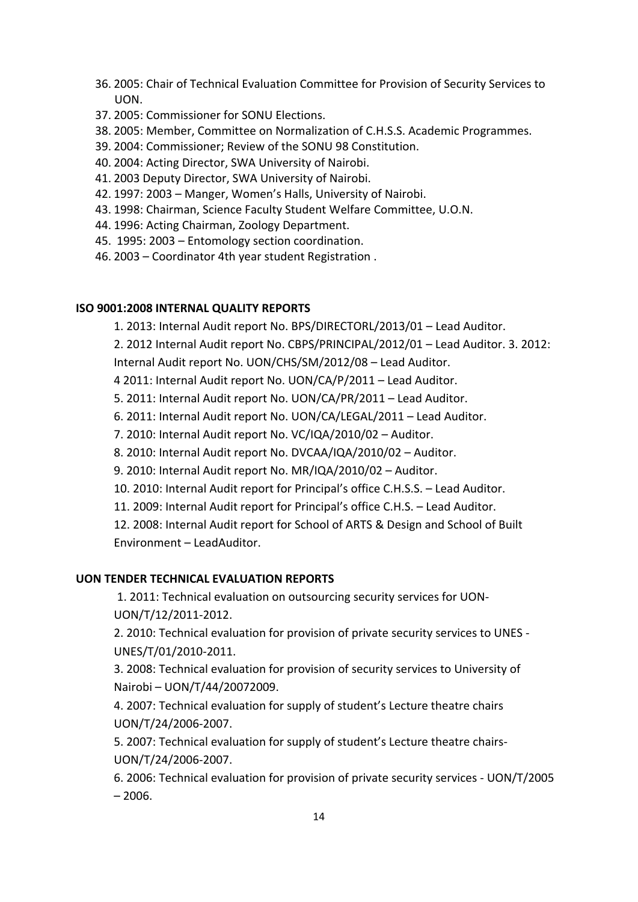- 36. 2005: Chair of Technical Evaluation Committee for Provision of Security Services to UON.
- 37. 2005: Commissioner for SONU Elections.
- 38. 2005: Member, Committee on Normalization of C.H.S.S. Academic Programmes.
- 39. 2004: Commissioner; Review of the SONU 98 Constitution.
- 40. 2004: Acting Director, SWA University of Nairobi.
- 41. 2003 Deputy Director, SWA University of Nairobi.
- 42. 1997: 2003 Manger, Women's Halls, University of Nairobi.
- 43. 1998: Chairman, Science Faculty Student Welfare Committee, U.O.N.
- 44. 1996: Acting Chairman, Zoology Department.
- 45. 1995: 2003 Entomology section coordination.
- 46. 2003 Coordinator 4th year student Registration .

#### **ISO 9001:2008 INTERNAL QUALITY REPORTS**

1. 2013: Internal Audit report No. BPS/DIRECTORL/2013/01 – Lead Auditor.

2. 2012 Internal Audit report No. CBPS/PRINCIPAL/2012/01 – Lead Auditor. 3. 2012: Internal Audit report No. UON/CHS/SM/2012/08 – Lead Auditor.

4 2011: Internal Audit report No. UON/CA/P/2011 – Lead Auditor.

5. 2011: Internal Audit report No. UON/CA/PR/2011 – Lead Auditor.

- 6. 2011: Internal Audit report No. UON/CA/LEGAL/2011 Lead Auditor.
- 7. 2010: Internal Audit report No. VC/IQA/2010/02 Auditor.
- 8. 2010: Internal Audit report No. DVCAA/IQA/2010/02 Auditor.
- 9. 2010: Internal Audit report No. MR/IQA/2010/02 Auditor.
- 10. 2010: Internal Audit report for Principal's office C.H.S.S. Lead Auditor.
- 11. 2009: Internal Audit report for Principal's office C.H.S. Lead Auditor.

12. 2008: Internal Audit report for School of ARTS & Design and School of Built Environment – LeadAuditor.

#### **UON TENDER TECHNICAL EVALUATION REPORTS**

1. 2011: Technical evaluation on outsourcing security services for UON-UON/T/12/2011-2012.

2. 2010: Technical evaluation for provision of private security services to UNES - UNES/T/01/2010-2011.

3. 2008: Technical evaluation for provision of security services to University of Nairobi – UON/T/44/20072009.

4. 2007: Technical evaluation for supply of student's Lecture theatre chairs UON/T/24/2006-2007.

5. 2007: Technical evaluation for supply of student's Lecture theatre chairs-UON/T/24/2006-2007.

6. 2006: Technical evaluation for provision of private security services - UON/T/2005  $-2006.$